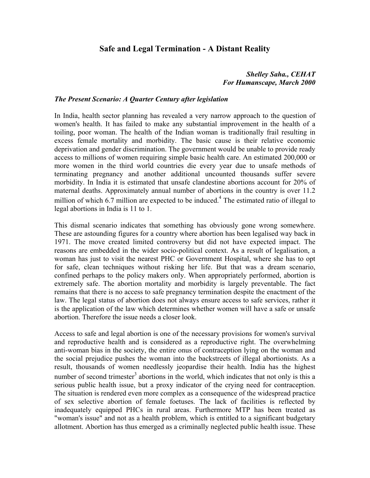# **Safe and Legal Termination - A Distant Reality**

## *Shelley Saha., CEHAT For Humanscape, March 2000*

#### *The Present Scenario: A Quarter Century after legislation*

In India, health sector planning has revealed a very narrow approach to the question of women's health. It has failed to make any substantial improvement in the health of a toiling, poor woman. The health of the Indian woman is traditionally frail resulting in excess female mortality and morbidity. The basic cause is their relative economic deprivation and gender discrimination. The government would be unable to provide ready access to millions of women requiring simple basic health care. An estimated 200,000 or more women in the third world countries die every year due to unsafe methods of terminating pregnancy and another additional uncounted thousands suffer severe morbidity. In India it is estimated that unsafe clandestine abortions account for 20% of maternal deaths. Approximately annual number of abortions in the country is over 11.2 million of which 6.7 million are expected to be induced.<sup>4</sup> The estimated ratio of illegal to legal abortions in India is 11 to 1.

This dismal scenario indicates that something has obviously gone wrong somewhere. These are astounding figures for a country where abortion has been legalised way back in 1971. The move created limited controversy but did not have expected impact. The reasons are embedded in the wider socio-political context. As a result of legalisation, a woman has just to visit the nearest PHC or Government Hospital, where she has to opt for safe, clean techniques without risking her life. But that was a dream scenario, confined perhaps to the policy makers only. When appropriately performed, abortion is extremely safe. The abortion mortality and morbidity is largely preventable. The fact remains that there is no access to safe pregnancy termination despite the enactment of the law. The legal status of abortion does not always ensure access to safe services, rather it is the application of the law which determines whether women will have a safe or unsafe abortion. Therefore the issue needs a closer look.

Access to safe and legal abortion is one of the necessary provisions for women's survival and reproductive health and is considered as a reproductive right. The overwhelming anti-woman bias in the society, the entire onus of contraception lying on the woman and the social prejudice pushes the woman into the backstreets of illegal abortionists. As a result, thousands of women needlessly jeopardise their health. India has the highest number of second trimester<sup>3</sup> abortions in the world, which indicates that not only is this a serious public health issue, but a proxy indicator of the crying need for contraception. The situation is rendered even more complex as a consequence of the widespread practice of sex selective abortion of female foetuses. The lack of facilities is reflected by inadequately equipped PHCs in rural areas. Furthermore MTP has been treated as "woman's issue" and not as a health problem, which is entitled to a significant budgetary allotment. Abortion has thus emerged as a criminally neglected public health issue. These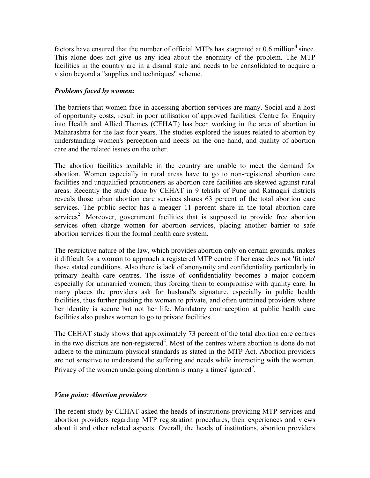factors have ensured that the number of official MTPs has stagnated at  $0.6$  million<sup>4</sup> since. This alone does not give us any idea about the enormity of the problem. The MTP facilities in the country are in a dismal state and needs to be consolidated to acquire a vision beyond a "supplies and techniques" scheme.

#### *Problems faced by women:*

The barriers that women face in accessing abortion services are many. Social and a host of opportunity costs, result in poor utilisation of approved facilities. Centre for Enquiry into Health and Allied Themes (CEHAT) has been working in the area of abortion in Maharashtra for the last four years. The studies explored the issues related to abortion by understanding women's perception and needs on the one hand, and quality of abortion care and the related issues on the other.

The abortion facilities available in the country are unable to meet the demand for abortion. Women especially in rural areas have to go to non-registered abortion care facilities and unqualified practitioners as abortion care facilities are skewed against rural areas. Recently the study done by CEHAT in 9 tehsils of Pune and Ratnagiri districts reveals those urban abortion care services shares 63 percent of the total abortion care services. The public sector has a meager 11 percent share in the total abortion care services<sup>2</sup>. Moreover, government facilities that is supposed to provide free abortion services often charge women for abortion services, placing another barrier to safe abortion services from the formal health care system.

The restrictive nature of the law, which provides abortion only on certain grounds, makes it difficult for a woman to approach a registered MTP centre if her case does not 'fit into' those stated conditions. Also there is lack of anonymity and confidentiality particularly in primary health care centres. The issue of confidentiality becomes a major concern especially for unmarried women, thus forcing them to compromise with quality care. In many places the providers ask for husband's signature, especially in public health facilities, thus further pushing the woman to private, and often untrained providers where her identity is secure but not her life. Mandatory contraception at public health care facilities also pushes women to go to private facilities.

The CEHAT study shows that approximately 73 percent of the total abortion care centres in the two districts are non-registered<sup>2</sup>. Most of the centres where abortion is done do not adhere to the minimum physical standards as stated in the MTP Act. Abortion providers are not sensitive to understand the suffering and needs while interacting with the women. Privacy of the women undergoing abortion is many a times' ignored<sup>9</sup>.

## *View point: Abortion providers*

The recent study by CEHAT asked the heads of institutions providing MTP services and abortion providers regarding MTP registration procedures, their experiences and views about it and other related aspects. Overall, the heads of institutions, abortion providers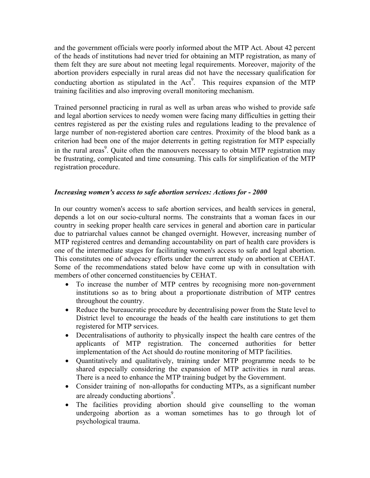and the government officials were poorly informed about the MTP Act. About 42 percent of the heads of institutions had never tried for obtaining an MTP registration, as many of them felt they are sure about not meeting legal requirements. Moreover, majority of the abortion providers especially in rural areas did not have the necessary qualification for conducting abortion as stipulated in the  $Act^9$ . This requires expansion of the MTP training facilities and also improving overall monitoring mechanism.

Trained personnel practicing in rural as well as urban areas who wished to provide safe and legal abortion services to needy women were facing many difficulties in getting their centres registered as per the existing rules and regulations leading to the prevalence of large number of non-registered abortion care centres. Proximity of the blood bank as a criterion had been one of the major deterrents in getting registration for MTP especially in the rural areas<sup>9</sup>. Quite often the manouvers necessary to obtain MTP registration may be frustrating, complicated and time consuming. This calls for simplification of the MTP registration procedure.

## *Increasing women's access to safe abortion services: Actions for - 2000*

In our country women's access to safe abortion services, and health services in general, depends a lot on our socio-cultural norms. The constraints that a woman faces in our country in seeking proper health care services in general and abortion care in particular due to patriarchal values cannot be changed overnight. However, increasing number of MTP registered centres and demanding accountability on part of health care providers is one of the intermediate stages for facilitating women's access to safe and legal abortion. This constitutes one of advocacy efforts under the current study on abortion at CEHAT. Some of the recommendations stated below have come up with in consultation with members of other concerned constituencies by CEHAT.

- To increase the number of MTP centres by recognising more non-government institutions so as to bring about a proportionate distribution of MTP centres throughout the country.
- Reduce the bureaucratic procedure by decentralising power from the State level to District level to encourage the heads of the health care institutions to get them registered for MTP services.
- Decentralisations of authority to physically inspect the health care centres of the applicants of MTP registration. The concerned authorities for better implementation of the Act should do routine monitoring of MTP facilities.
- Quantitatively and qualitatively, training under MTP programme needs to be shared especially considering the expansion of MTP activities in rural areas. There is a need to enhance the MTP training budget by the Government.
- Consider training of non-allopaths for conducting MTPs, as a significant number are already conducting abortions<sup>9</sup>.
- The facilities providing abortion should give counselling to the woman undergoing abortion as a woman sometimes has to go through lot of psychological trauma.